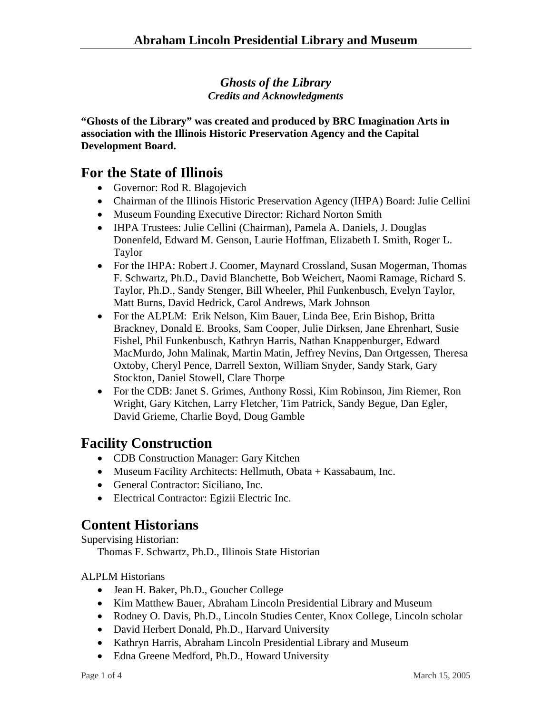#### *Ghosts of the Library Credits and Acknowledgments*

**"Ghosts of the Library" was created and produced by BRC Imagination Arts in association with the Illinois Historic Preservation Agency and the Capital Development Board.** 

### **For the State of Illinois**

- Governor: Rod R. Blagojevich
- Chairman of the Illinois Historic Preservation Agency (IHPA) Board: Julie Cellini
- Museum Founding Executive Director: Richard Norton Smith
- IHPA Trustees: Julie Cellini (Chairman), Pamela A. Daniels, J. Douglas Donenfeld, Edward M. Genson, Laurie Hoffman, Elizabeth I. Smith, Roger L. Taylor
- For the IHPA: Robert J. Coomer, Maynard Crossland, Susan Mogerman, Thomas F. Schwartz, Ph.D., David Blanchette, Bob Weichert, Naomi Ramage, Richard S. Taylor, Ph.D., Sandy Stenger, Bill Wheeler, Phil Funkenbusch, Evelyn Taylor, Matt Burns, David Hedrick, Carol Andrews, Mark Johnson
- For the ALPLM: Erik Nelson, Kim Bauer, Linda Bee, Erin Bishop, Britta Brackney, Donald E. Brooks, Sam Cooper, Julie Dirksen, Jane Ehrenhart, Susie Fishel, Phil Funkenbusch, Kathryn Harris, Nathan Knappenburger, Edward MacMurdo, John Malinak, Martin Matin, Jeffrey Nevins, Dan Ortgessen, Theresa Oxtoby, Cheryl Pence, Darrell Sexton, William Snyder, Sandy Stark, Gary Stockton, Daniel Stowell, Clare Thorpe
- For the CDB: Janet S. Grimes, Anthony Rossi, Kim Robinson, Jim Riemer, Ron Wright, Gary Kitchen, Larry Fletcher, Tim Patrick, Sandy Begue, Dan Egler, David Grieme, Charlie Boyd, Doug Gamble

# **Facility Construction**

- CDB Construction Manager: Gary Kitchen
- Museum Facility Architects: Hellmuth, Obata + Kassabaum, Inc.
- General Contractor: Siciliano, Inc.
- Electrical Contractor: Egizii Electric Inc.

# **Content Historians**

Supervising Historian: Thomas F. Schwartz, Ph.D., Illinois State Historian

ALPLM Historians

- Jean H. Baker, Ph.D., Goucher College
- Kim Matthew Bauer, Abraham Lincoln Presidential Library and Museum
- Rodney O. Davis, Ph.D., Lincoln Studies Center, Knox College, Lincoln scholar
- David Herbert Donald, Ph.D., Harvard University
- Kathryn Harris, Abraham Lincoln Presidential Library and Museum
- Edna Greene Medford, Ph.D., Howard University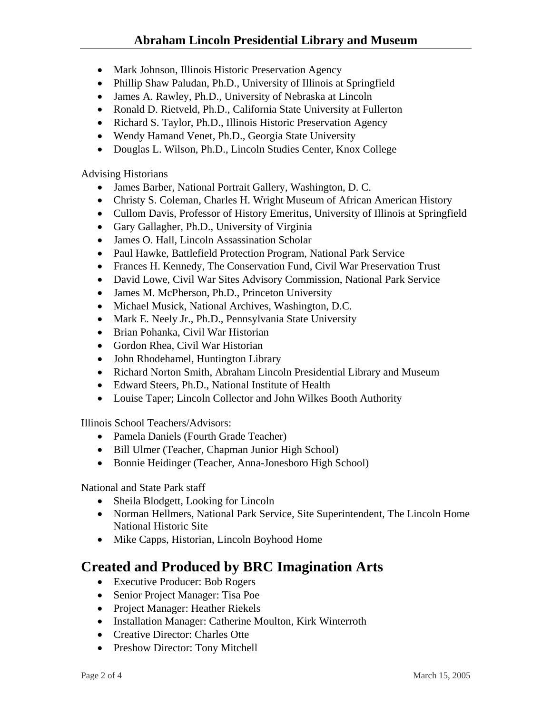#### **Abraham Lincoln Presidential Library and Museum**

- Mark Johnson, Illinois Historic Preservation Agency
- Phillip Shaw Paludan, Ph.D., University of Illinois at Springfield
- James A. Rawley, Ph.D., University of Nebraska at Lincoln
- Ronald D. Rietveld, Ph.D., California State University at Fullerton
- Richard S. Taylor, Ph.D., Illinois Historic Preservation Agency
- Wendy Hamand Venet, Ph.D., Georgia State University
- Douglas L. Wilson, Ph.D., Lincoln Studies Center, Knox College

Advising Historians

- James Barber, National Portrait Gallery, Washington, D. C.
- Christy S. Coleman, Charles H. Wright Museum of African American History
- Cullom Davis, Professor of History Emeritus, University of Illinois at Springfield
- Gary Gallagher, Ph.D., University of Virginia
- James O. Hall, Lincoln Assassination Scholar
- Paul Hawke, Battlefield Protection Program, National Park Service
- Frances H. Kennedy, The Conservation Fund, Civil War Preservation Trust
- David Lowe, Civil War Sites Advisory Commission, National Park Service
- James M. McPherson, Ph.D., Princeton University
- Michael Musick, National Archives, Washington, D.C.
- Mark E. Neely Jr., Ph.D., Pennsylvania State University
- Brian Pohanka, Civil War Historian
- Gordon Rhea, Civil War Historian
- John Rhodehamel, Huntington Library
- Richard Norton Smith, Abraham Lincoln Presidential Library and Museum
- Edward Steers, Ph.D., National Institute of Health
- Louise Taper; Lincoln Collector and John Wilkes Booth Authority

Illinois School Teachers/Advisors:

- Pamela Daniels (Fourth Grade Teacher)
- Bill Ulmer (Teacher, Chapman Junior High School)
- Bonnie Heidinger (Teacher, Anna-Jonesboro High School)

National and State Park staff

- Sheila Blodgett, Looking for Lincoln
- Norman Hellmers, National Park Service, Site Superintendent, The Lincoln Home National Historic Site
- Mike Capps, Historian, Lincoln Boyhood Home

## **Created and Produced by BRC Imagination Arts**

- Executive Producer: Bob Rogers
- Senior Project Manager: Tisa Poe
- Project Manager: Heather Riekels
- Installation Manager: Catherine Moulton, Kirk Winterroth
- Creative Director: Charles Otte
- Preshow Director: Tony Mitchell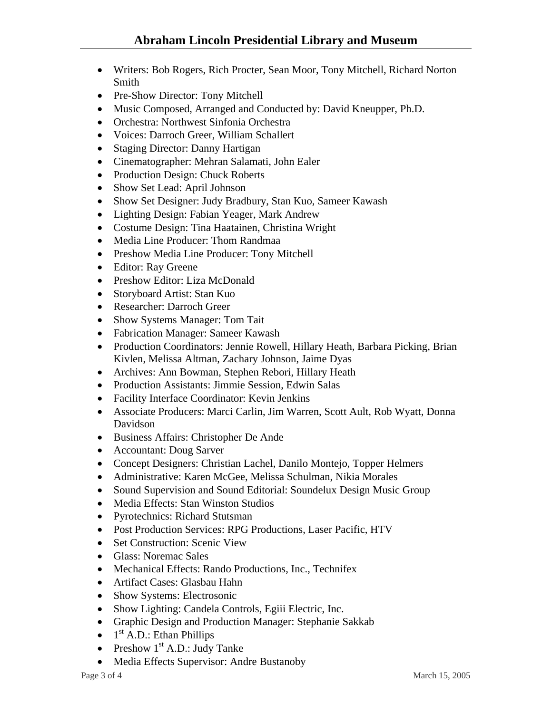- Writers: Bob Rogers, Rich Procter, Sean Moor, Tony Mitchell, Richard Norton Smith
- Pre-Show Director: Tony Mitchell
- Music Composed, Arranged and Conducted by: David Kneupper, Ph.D.
- Orchestra: Northwest Sinfonia Orchestra
- Voices: Darroch Greer, William Schallert
- Staging Director: Danny Hartigan
- Cinematographer: Mehran Salamati, John Ealer
- Production Design: Chuck Roberts
- Show Set Lead: April Johnson
- Show Set Designer: Judy Bradbury, Stan Kuo, Sameer Kawash
- Lighting Design: Fabian Yeager, Mark Andrew
- Costume Design: Tina Haatainen, Christina Wright
- Media Line Producer: Thom Randmaa
- Preshow Media Line Producer: Tony Mitchell
- Editor: Ray Greene
- Preshow Editor: Liza McDonald
- Storyboard Artist: Stan Kuo
- Researcher: Darroch Greer
- Show Systems Manager: Tom Tait
- Fabrication Manager: Sameer Kawash
- Production Coordinators: Jennie Rowell, Hillary Heath, Barbara Picking, Brian Kivlen, Melissa Altman, Zachary Johnson, Jaime Dyas
- Archives: Ann Bowman, Stephen Rebori, Hillary Heath
- Production Assistants: Jimmie Session, Edwin Salas
- Facility Interface Coordinator: Kevin Jenkins
- Associate Producers: Marci Carlin, Jim Warren, Scott Ault, Rob Wyatt, Donna Davidson
- Business Affairs: Christopher De Ande
- Accountant: Doug Sarver
- Concept Designers: Christian Lachel, Danilo Montejo, Topper Helmers
- Administrative: Karen McGee, Melissa Schulman, Nikia Morales
- Sound Supervision and Sound Editorial: Soundelux Design Music Group
- Media Effects: Stan Winston Studios
- Pyrotechnics: Richard Stutsman
- Post Production Services: RPG Productions, Laser Pacific, HTV
- Set Construction: Scenic View
- Glass: Noremac Sales
- Mechanical Effects: Rando Productions, Inc., Technifex
- Artifact Cases: Glasbau Hahn
- Show Systems: Electrosonic
- Show Lighting: Candela Controls, Egiii Electric, Inc.
- Graphic Design and Production Manager: Stephanie Sakkab
- $\bullet$  1<sup>st</sup> A.D.: Ethan Phillips
- Preshow  $1<sup>st</sup>$  A.D.: Judy Tanke
- Media Effects Supervisor: Andre Bustanoby